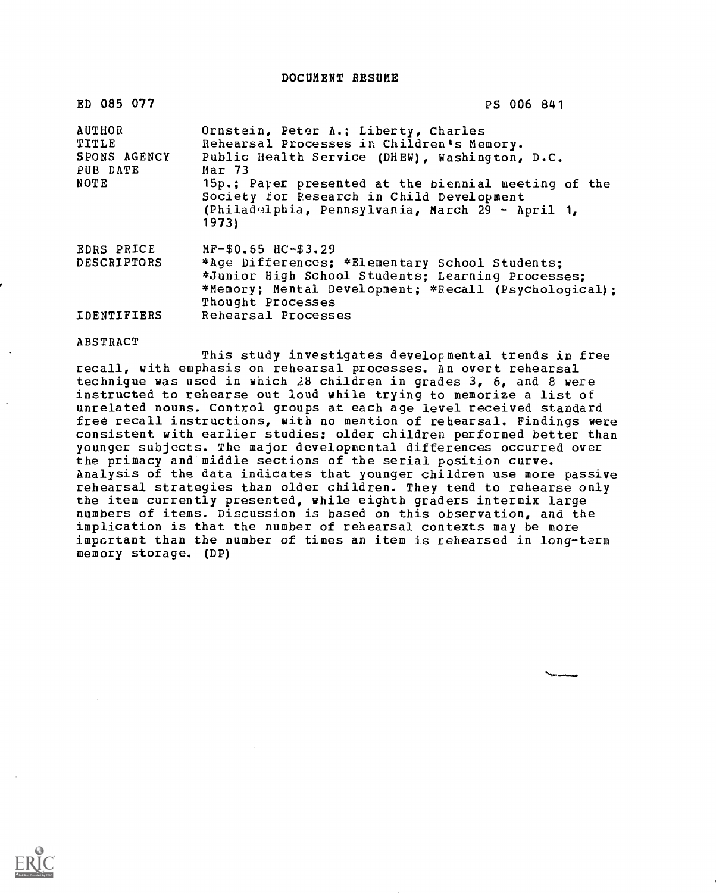DOCUMENT RESUME

| ED 085 077                                                 | PS 006 841                                                                                                                                                                                                                                                                                                                 |
|------------------------------------------------------------|----------------------------------------------------------------------------------------------------------------------------------------------------------------------------------------------------------------------------------------------------------------------------------------------------------------------------|
| <b>AUTHOR</b><br>TITLE<br>SPONS AGENCY<br>PUB DATE<br>NOTE | Ornstein, Peter A.; Liberty, Charles<br>Rehearsal Processes in Children's Memory.<br>Public Health Service (DHEW), Washington, D.C.<br>Mar <sub>73</sub><br>15p.; Parer presented at the biennial meeting of the<br>Society for Research in Child Development<br>(Philadelphia, Pennsylvania, March 29 - April 1,<br>1973) |
| EDRS PRICE<br><b>DESCRIPTORS</b>                           | $MF-$0.65$ $HC-$3.29$<br>*Age Differences; *Elementary School Students;<br>*Junior High School Students; Learning Processes;<br>*Memory; Mental Development; *Recall (Psychological):<br>Thought Processes                                                                                                                 |
| <b>IDENTIFIERS</b>                                         | Rehearsal Processes                                                                                                                                                                                                                                                                                                        |

ABSTRACT

This study investigates developmental trends in free recall, with emphasis on rehearsal processes. An overt rehearsal technique was used in which 28 children in grades  $3, 6,$  and 8 were instructed to rehearse out loud while trying to memorize a list of unrelated nouns. Control groups at each age level received standard free recall instructions, with no mention of rehearsal. Findings were consistent with earlier studies: older children performed better than younger subjects. The major developmental differences occurred over the primacy and middle sections of the serial position curve. Analysis of the data indicates that younger children use more passive rehearsal strategies than older children. They tend to rehearse only the item currently presented, while eighth graders intermix large numbers of items. Discussion is based on this observation, and the implication is that the number of rehearsal contexts may be more important than the number of times an item is rehearsed in long-term memory storage. (DP)

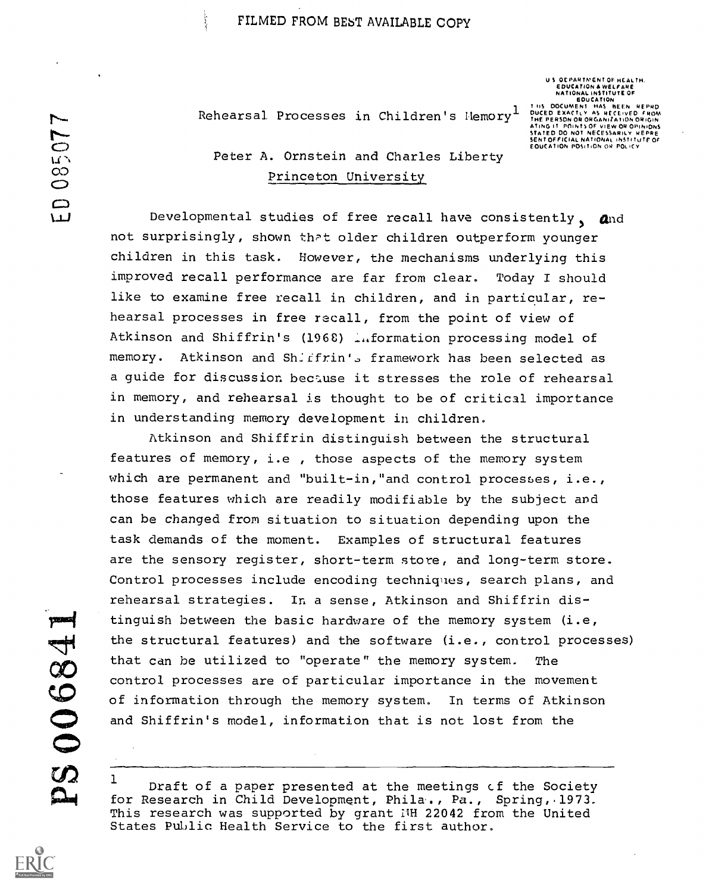Rehearsal Processes in Children's Hemory<sup>1</sup>

U S. OEPARTMENT OF HEALTH.<br>EDUCATION & WELFARE<br>NATIONAL INSTITUTE OF EDUCATION<br>T.US DOCUMENT HAS BEEN REPRO THE PERSON OR ORGANIZATION OR ORGANIZATION OR ORGANIZATION OR ORGANIZATION OR ORGANIZATIONS OF VIEW ORGANIZATIONS OF VIEW ORGANIZATIONS OF VIEW ORGANIZATIONS OF VIEW ORGANIZATIONS ATTENE CONCORDING ORGANIZATION CONCORDING

# .<br>
ON STR Peter A. Ornstein and Charles Liberty<br>
Peter A. Ornstein and Charles Liberty<br>
Princeton University Princeton University

Developmental studies of free recall have consistently,  $\alpha$ nd not surprisingly, shown that older children outperform younger children in this task. However, the mechanisms underlying this improved recall performance are far from clear. Today I should like to examine free recall in children, and in particular, rehearsal processes in free recall, from the point of view of Atkinson and Shiffrin's (1968) Information processing model of memory. Atkinson and Sh. ffrin's framework has been selected as a guide for discussion bectuse it stresses the role of rehearsal in memory, and rehearsal is thought to be of critical importance in understanding memory development in children.

Atkinson and Shiffrin distinguish between the structural features of memory, i.e , those aspects of the memory system which are permanent and "built-in,"and control processes, i.e., those features which are readily modifiable by the subject and can be changed from situation to situation depending upon the task demands of the moment. Examples of structural features are the sensory register, short-term store, and long-term store. Control processes include encoding techniques, search plans, and rehearsal strategies. In a sense, Atkinson and Shiffrin distinguish between the basic hardware of the memory system (i.e, the structural features) and the software (i.e., control processes) that can be utilized to "operate" the memory system. The control processes are of particular importance in the movement of information through the memory system. In terms of Atkinson and Shiffrin's model, information that is not lost from the

 $1$  Draft of a paper presented at the meetings of the Society for Research in Child Development, Phila., Pa., Spring, 1973. This research was supported by grant I'H 22042 from the United States Public Health Service to the first author,

poses 5000684  $\mathbf{\Omega}$ 

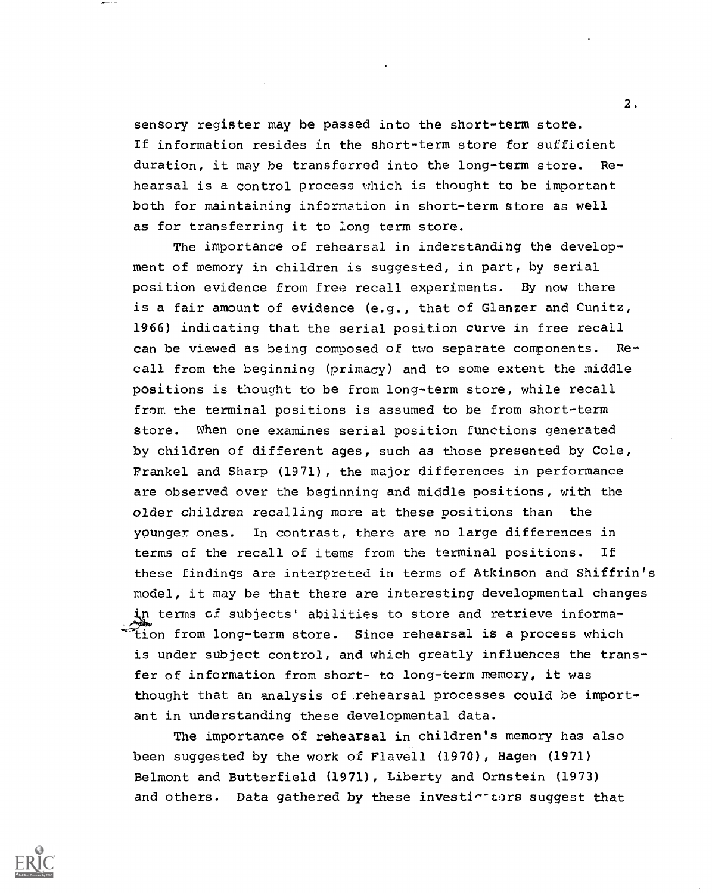sensory register may be passed into the short-term store. If information resides in the short-term store for sufficient duration, it may he transferred into the long-term store. Rehearsal is a control process which is thought to be important both for maintaining information in short-term store as well as for transferring it to long term store.

The importance of rehearsal in inderstanding the development of memory in children is suggested, in part, by serial position evidence from free recall experiments. By now there is a fair amount of evidence (e.g., that of Glanzer and Cunitz, 1966) indicating that the serial position curve in free recall can be viewed as being composed of two separate components. Recall from the beginning (primacy) and to some extent the middle positions is thought to be from long-term store, while recall from the terminal positions is assumed to be from short-term store. When one examines serial position functions generated by children of different ages, such as those presented by Cole, Frankel and Sharp (1971), the major differences in performance are observed over the beginning and middle positions, with the older children recalling more at these positions than the younger ones. In contrast, there are no large differences in terms of the recall of items from the terminal positions. If these findings are interpreted in terms of Atkinson and Shiffrin's model, it may be that there are interesting developmental changes terms of subjects' abilities to store and retrieve informaion from long-term store. Since rehearsal is a process which is under subject control, and which greatly influences the transfer of information from short- to long-term memory, it was thought that an analysis of rehearsal processes could be important in understanding these developmental data.

The importance of rehearsal in children's memory has also been suggested by the work of Flavell (1970), Hagen (1971) Belmont and Butterfield (1971), Liberty and Ornstein (1973) and others. Data gathered by these investintiors suggest that

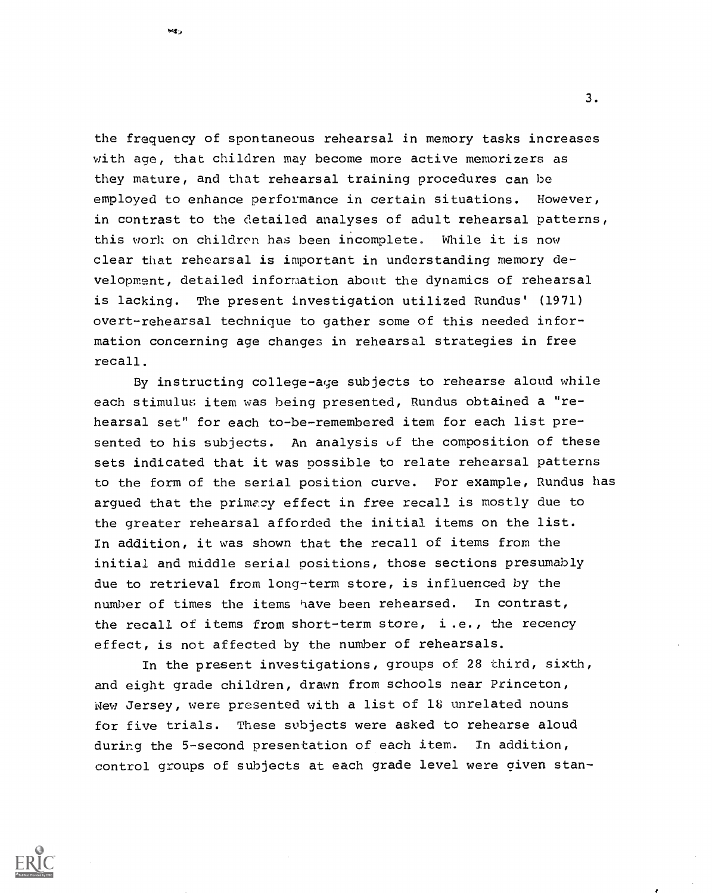the frequency of spontaneous rehearsal in memory tasks increases with age, that children may become more active memorizers as they mature, and that rehearsal training procedures can be employed to enhance performance in certain situations. However, in contrast to the detailed analyses of adult rehearsal patterns, this work on children has been incomplete. While it is now clear that rehearsal is important in understanding memory development, detailed information about the dynamics of rehearsal is lacking. The present investigation utilized Rundus' (1971) overt-rehearsal technique to gather some of this needed information concerning age changes in rehearsal strategies in free recall.

tegy.

By instructing college-age subjects to rehearse aloud while each stimulus item was being presented, Rundus obtained a "rehearsal set" for each to-be-remembered item for each list presented to his subjects. An analysis of the composition of these sets indicated that it was possible to relate rehearsal patterns to the form of the serial position curve. For example, Rundus has argued that the primacy effect in free recall is mostly due to the greater rehearsal afforded the initial items on the list. In addition, it was shown that the recall of items from the initial and middle serial positions, those sections presumably due to retrieval from long-term store, is influenced by the number of times the items have been rehearsed. In contrast, the recall of items from short-term store, i.e., the recency effect, is not affected by the number of rehearsals.

In the present investigations, groups of 28 third, sixth, and eight grade children, drawn from schools near Princeton, New Jersey, were presented with a list of 18 unrelated nouns for five trials. These subjects were asked to rehearse aloud during the 5-second presentation of each item. In addition, control groups of subjects at each grade level were given stan-

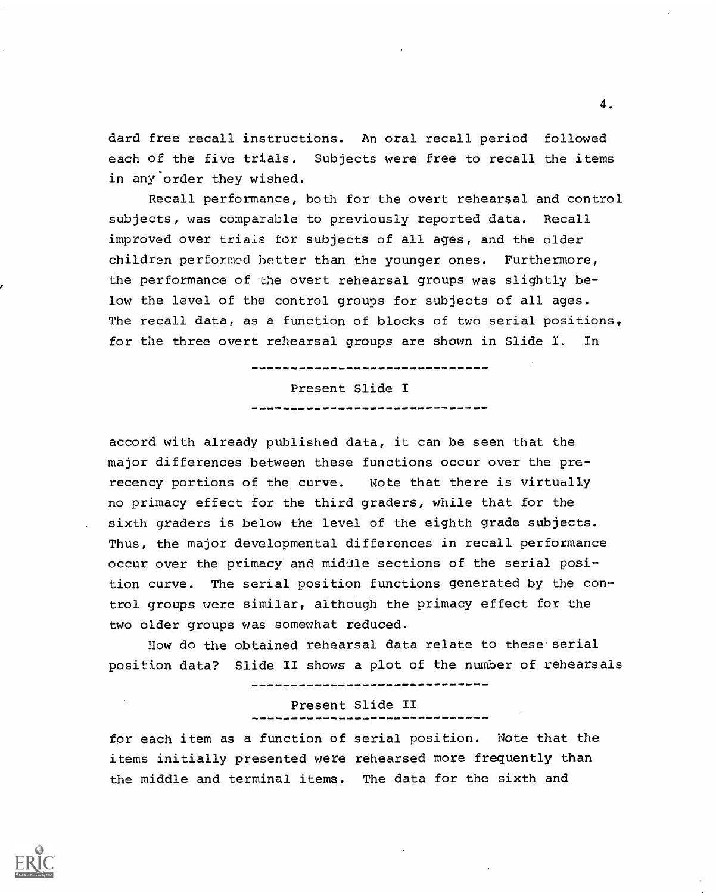dard free recall instructions. An oral recall period followed each of the five trials. Subjects were free to recall the items in any order they wished.

Recall performance, both for the overt rehearsal and control subjects, was comparable to previously reported data. Recall improved over trials for subjects of all ages, and the older children performed hotter than the younger ones. Furthermore, the performance of the overt rehearsal groups was slightly below the level of the control groups for subjects of all ages. The recall data, as a function of blocks of two serial positions, for the three overt rehearsal groups are shown in Slide I. In

> Present Slide I

accord with already published data, it can be seen that the major differences between these functions occur over the prerecency portions of the curve. Note that there is virtually no primacy effect for the third graders, while that for the sixth graders is below the level of the eighth grade subjects. Thus, the major developmental differences in recall performance occur over the primacy and middle sections of the serial position curve. The serial position functions generated by the control groups were similar, although the primacy effect for the two older groups was somewhat reduced.

How do the obtained rehearsal data relate to these serial position data? Slide II shows a plot of the number of rehearsals

Present Slide II

for each item as a function of serial position. Note that the items initially presented were rehearsed more frequently than the middle and terminal items. The data for the sixth and

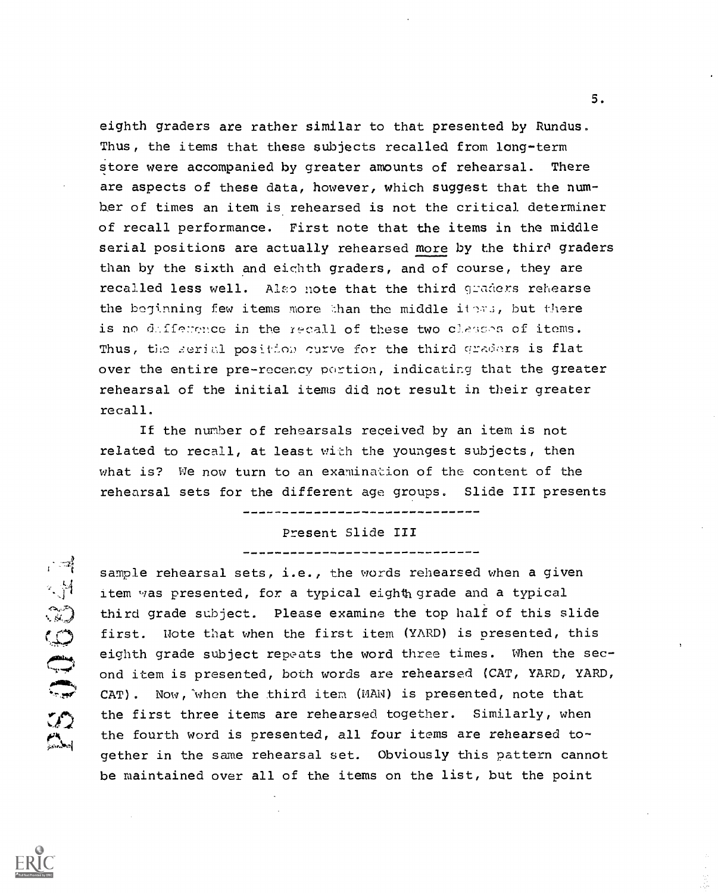eighth graders are rather similar to that presented by Rundus. Thus, the items that these subjects recalled from long-term store were accompanied by greater amounts of rehearsal. There are aspects of these data, however, which suggest that the numher of times an item is rehearsed is not the critical determiner of recall performance. First note that the items in the middle serial positions are actually rehearsed more by the third graders than by the sixth and eighth graders, and of course, they are recalled less well. Also note that the third graders rehearse the beginning few items more than the middle items, but there is no dafference in the recall of these two clesses of items. Thus, the serial position curve for the third graders is flat over the entire pre-recency portion, indicating that the greater rehearsal of the initial items did not result in their greater recall.

If the number of rehearsals received by an item is not related to recall, at least with the youngest subjects, then what is? We now turn to an examination of the content of the rehearsal sets for the different age groups. Slide III presents

# Present Slide III

\_\_\_\_\_\_\_\_\_\_\_\_\_\_\_\_\_\_\_\_\_\_\_\_\_\_\_\_\_\_\_\_\_\_\_\_\_

sample rehearsal sets, i.e., the words rehearsed when a given item was presented, for a typical eighth grade and a typical third grade subject. Please examine the top half of this slide first. Note that when the first item (YARD) is presented, this eighth grade subject repeats the word three times. When the second item is presented, both words are rehearsed (CAT, YARD, YARD, CAT) . Now, 'when the third item (MAN) is presented, note that the first three items are rehearsed together. Similarly, when the fourth word is presented, all four items are rehearsed together in the same rehearsal set. Obviously this pattern cannot be maintained over all of the items on the list, but the point



**ENDONEY**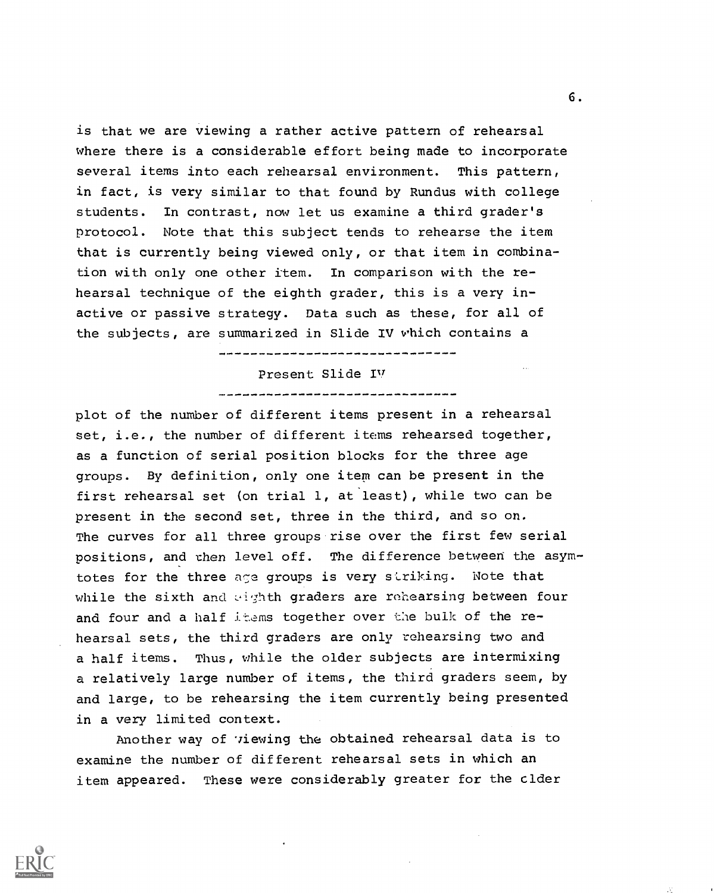is that we are viewing a rather active pattern of rehearsal where there is a considerable effort being made to incorporate several items into each rehearsal environment. This pattern, in fact, is very similar to that found by Rundus with college students. In contrast, now let us examine a third grader's protocol. Note that this subject tends to rehearse the item that is currently being viewed only, or that item in combination with only one other item. In comparison with the rehearsal technique of the eighth grader, this is a very inactive or passive strategy. Data such as these, for all of the subjects, are summarized in Slide IV which contains a

## Present Slide IN/

plot of the number of different items present in a rehearsal set, i.e., the number of different items rehearsed together, as a function of serial position blocks for the three age groups. By definition, only one item can be present in the first rehearsal set (on trial 1, at least), while two can be present in the second set, three in the third, and so on. The curves for all three groups rise over the first few serial positions, and then level off. The difference between the asymtotes for the three age groups is very striking. Note that while the sixth and eighth graders are rehearsing between four and four and a half items together over the bulk of the rehearsal sets, the third graders are only rehearsing two and a half items. Thus, while the older subjects are intermixing a relatively large number of items, the third graders seem, by and large, to be rehearsing the item currently being presented in a very limited context.

Another way of *viewing the obtained rehearsal data is to* examine the number of different rehearsal sets in which an item appeared. These were considerably greater for the cider

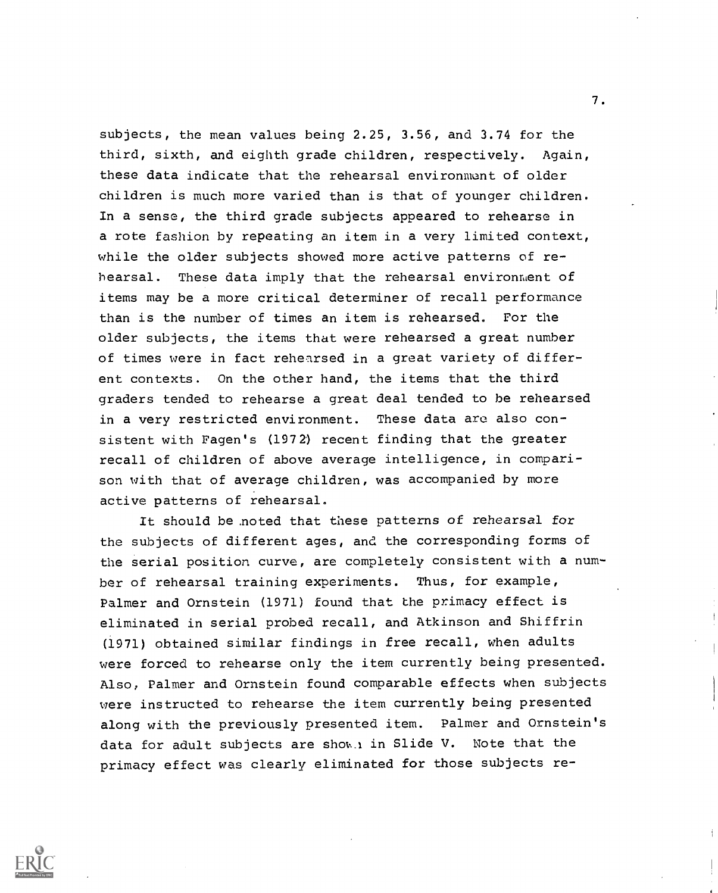subjects, the mean values being 2.25, 3.56, and 3.74 for the third, sixth, and eighth grade children, respectively. Again, these data indicate that the rehearsal environment of older children is much more varied than is that of younger children. In a sense, the third grade subjects appeared to rehearse in a rote fashion by repeating an item in a very limited context, while the older subjects showed more active patterns of rehearsal. These data imply that the rehearsal environment of items may be a more critical determiner of recall performance than is the number of times an item is rehearsed. For the older subjects, the items that were rehearsed a great number of times were in fact rehearsed in a great variety of different contexts. On the other hand, the items that the third graders tended to rehearse a great deal tended to be rehearsed in a very restricted environment. These data are also consistent with Fagen's (1972) recent finding that the greater recall of children of above average intelligence, in comparison with that of average children, was accompanied by more active patterns of rehearsal.

It should be .noted that these patterns of rehearsal for the subjects of different ages, and the corresponding forms of the serial position curve, are completely consistent with a number of rehearsal training experiments. Thus, for example, Palmer and Ornstein (1971) found that the primacy effect is eliminated in serial probed recall, and Atkinson and Shiffrin (1971) obtained similar findings in free recall, when adults were forced to rehearse only the item currently being presented. Also, Palmer and Ornstein found comparable effects when subjects were instructed to rehearse the item currently being presented along with the previously presented item. Palmer and Ornstein's data for adult subjects are shown in Slide V. Note that the primacy effect was clearly eliminated for those subjects re-

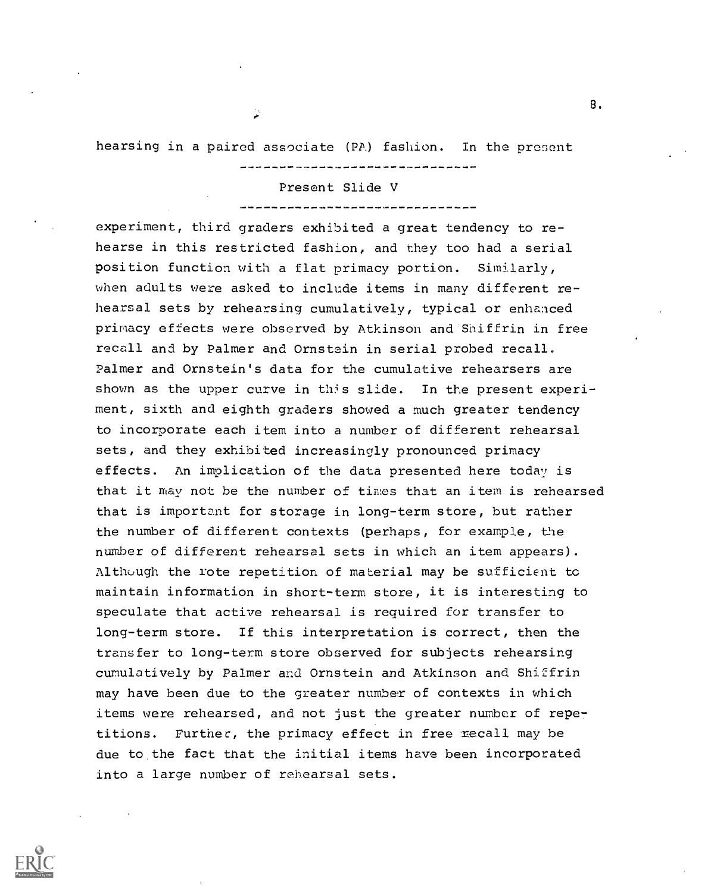hearsing in a paired associate (PA) fashion. In the present

#### Present Slide V

experiment, third graders exhibited a great tendency to rehearse in this restricted fashion, and they too had a serial position function with a flat primacy portion. Similarly, when adults were asked to include items in many different rehearsal sets by rehearsing cumulatively, typical or enhanced primacy effects were observed by Atkinson and Shiffrin in free recall and by Palmer and Ornstein in serial probed recall. Palmer and Ornstein's data for the cumulative rehearsers are shown as the upper curve in this slide. In the present experiment, sixth and eighth graders showed a much greater tendency to incorporate each item into a number of different rehearsal sets, and they exhibited increasingly pronounced primacy effects. An implication of the data presented here today is that it may not be the number of times that an item is rehearsed that is important for storage in long-term store, but rather the number of different contexts (perhaps, for example, the number of different rehearsal sets in which an item appears). Although the rote repetition of material may be sufficient to maintain information in short-term store, it is interesting to speculate that active rehearsal is required for transfer to long-term store. If this interpretation is correct, then the transfer to long-term store observed for subjects rehearsing cumulatively by Palmer and Ornstein and Atkinson and Shiffrin may have been due to the greater number of contexts in which items were rehearsed, and not just the greater number of repetitions. Further, the primacy effect in free recall may be due to the fact that the initial items have been incorporated into a large number of rehearsal sets.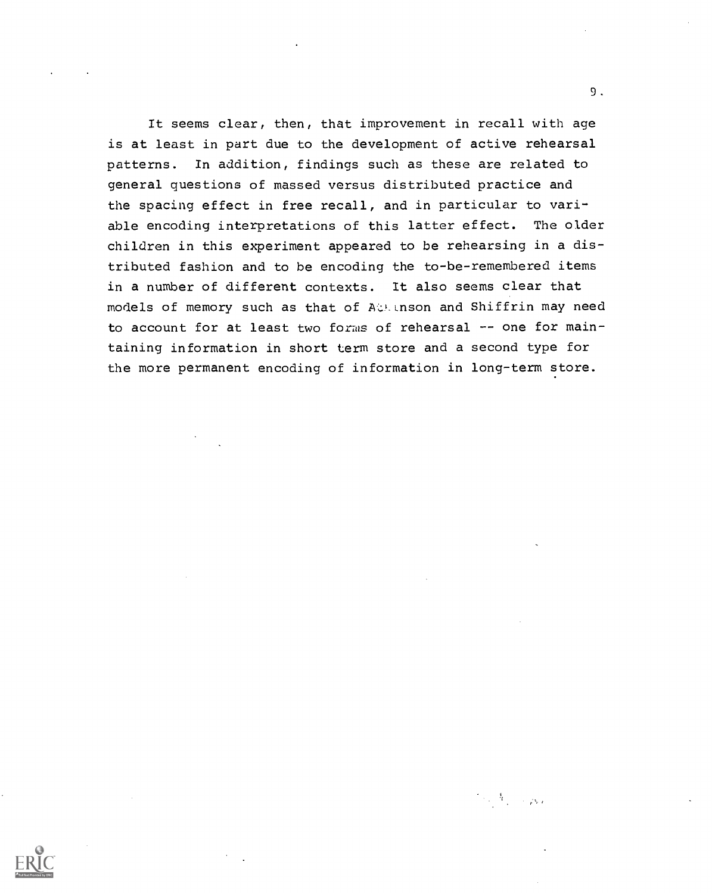It seems clear, then, that improvement in recall with age is at least in part due to the development of active rehearsal patterns. In addition, findings such as these are related to general questions of massed versus distributed practice and the spacing effect in free recall, and in particular to variable encoding interpretations of this latter effect. The older children in this experiment appeared to be rehearsing in a distributed fashion and to be encoding the to-be-remembered items in a number of different contexts. It also seems clear that models of memory such as that of Attinson and Shiffrin may need to account for at least two forms of rehearsal  $-$ - one for maintaining information in short term store and a second type for the more permanent encoding of information in long-term store.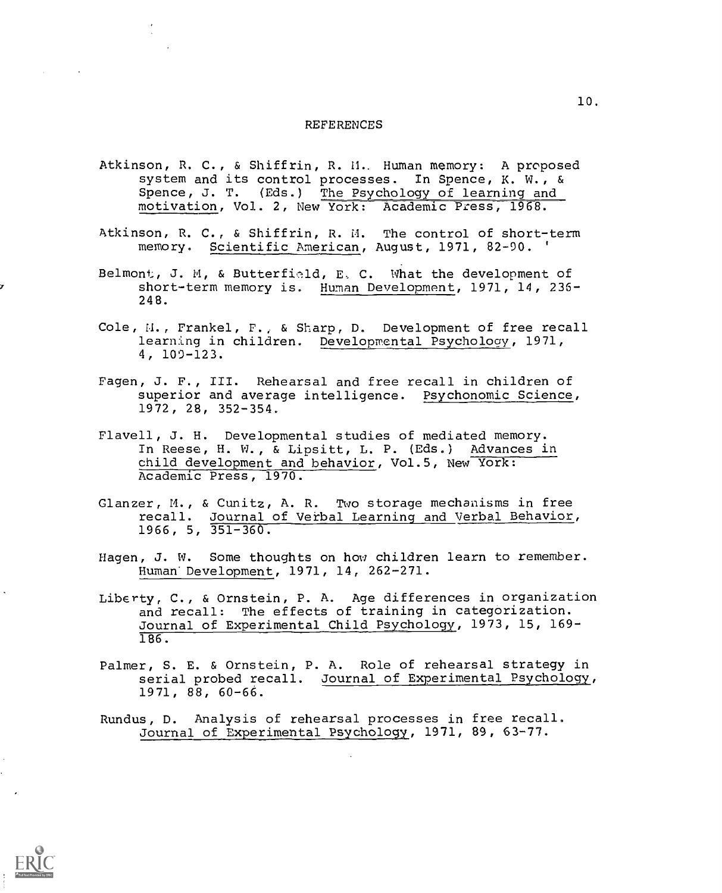### REFERENCES

- Atkinson, R. C., & Shiffrin, R. M. Human memory: A proposed system and its control processes. In Spence, K. W., & Spence, J. T. (Eds.) The Psychology of learning and motivation, Vol. 2, New York: Academic Press, 1968.
- Atkinson, R. C., & Shiffrin, R. M. The control of short-term memory. Scientific American, August, 1971, 82-90. '
- Belmont, J. M, & Butterfield, E. C. What the development of short-term memory is. Human Development, 1971, 14, 236-248.
- Cole, N., Frankel, F., & Sharp, D. Development of free recall learning in children. Developmental Psychology, 1971, 4, 109-123.
- Fagen, J. F., III. Rehearsal and free recall in children of superior and average intelligence. Psychonomic Science, 1972, 28, 352-354.
- Flavell, J. H. Developmental studies of mediated memory. In Reese, H. W., & Lipsitt, L. P. (Eds.) Advances in child development and behavior, Vol.5, New York: Academic Press, 1970.
- Glanzer, M., & Cunitz, A. R. Two storage mechanisms in free recall. Journal of Verbal Learning and Verbal Behavior,  $1966$ , 5,  $351-360$ .
- Hagen, J. W. Some thoughts on how children learn to remember. Human' Development, 1971, 14, 262-271.
- Liberty, C., & Ornstein, P. A. Age differences in organization and recall: The effects of training in categorization. Journal of Experimental Child Psychology, 1973, 15, 169- 186.
- Palmer, S. E. & Ornstein, P. A. Role of rehearsal strategy in serial probed recall. Journal of Experimental Psychology, 1971, 88, 60-66.
- Rundus, D. Analysis of rehearsal processes in free recall. Journal of Experimental Psychology, 1971, 89, 63-77.

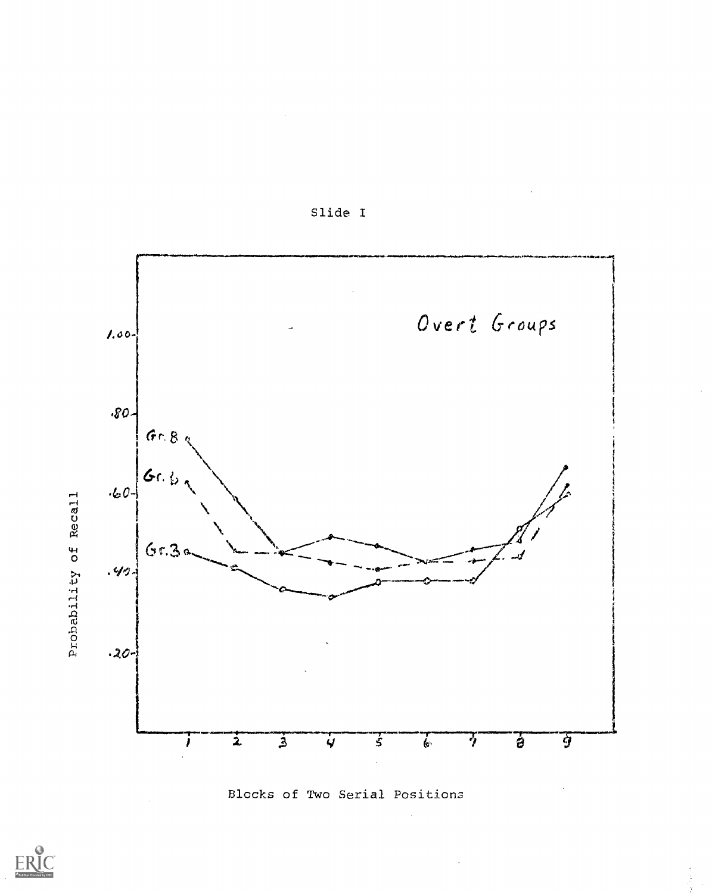



Blocks of Two Serial Positions

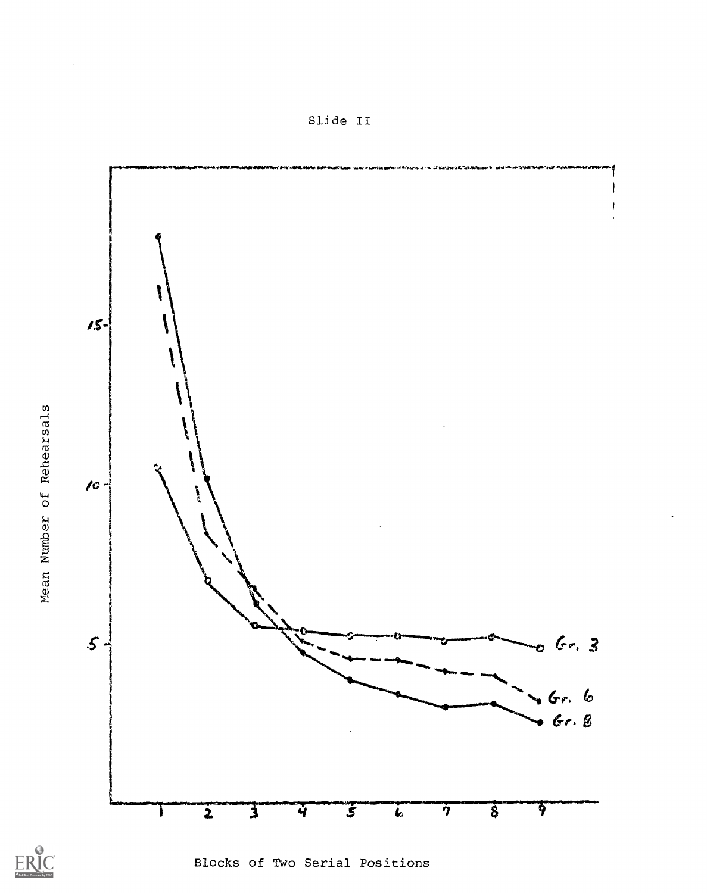$15 \sqrt{c}$  $\mathcal{S}$ .  $Gr.3$  $Gr, 6$  $Gr. 8$  $\vec{s}$  $\overline{3}$  $\overline{2}$  $\overline{\mathbf{3}}$  $\overline{\eta}$  $\overline{4}$  $\overline{\bm{k}}$ ł



Blocks of Two Serial Positions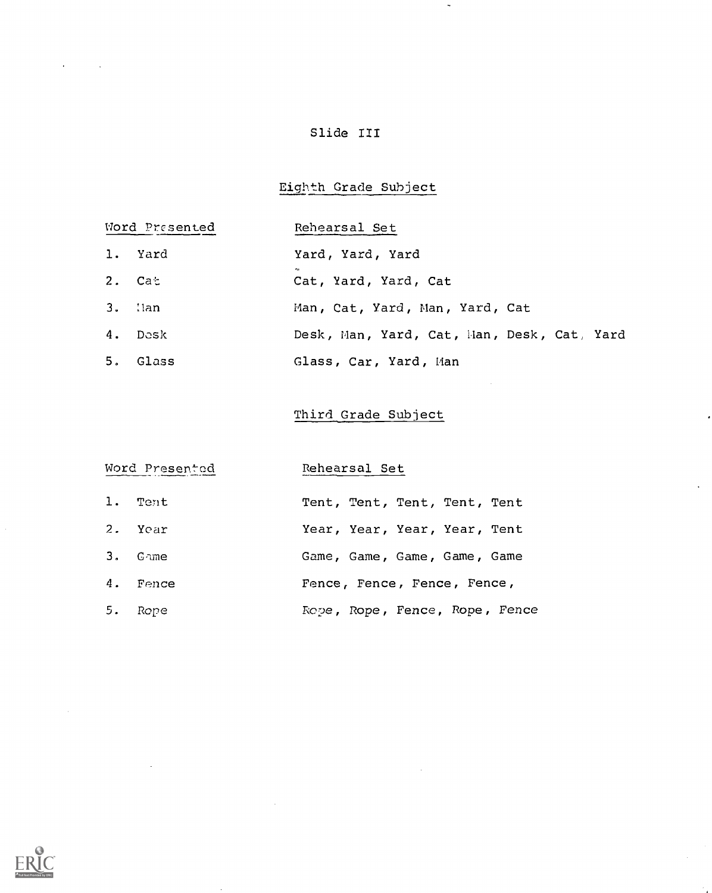# Slide III

# Eighth Grade Subject

 $\ddot{\phantom{0}}$ 

# Word Presented

# Rehearsal Set

- 1. Yard Yard, Yard, Yard
- $2.$  Cat Cat, Yard, Yard, Cat
- 3. :Ian Man, Cat, Yard, Man, Yard, Cat
- 4. Dcsk Desk, Man, Yard, Cat, Man, Desk, Cat, Yard
- 5. Glass Glass, Car, Yard, Han

## Third Grade Subject

# Word Presented Rehearsal Set

| 1. Tent  | Tent, Tent, Tent, Tent, Tent   |
|----------|--------------------------------|
| 2. Year  | Year, Year, Year, Year, Tent   |
| 3. Game  | Game, Game, Game, Game, Game   |
| 4. Fence | Fence, Fence, Fence, Fence,    |
| 5. Rope  | Rope, Rope, Fence, Rope, Fence |

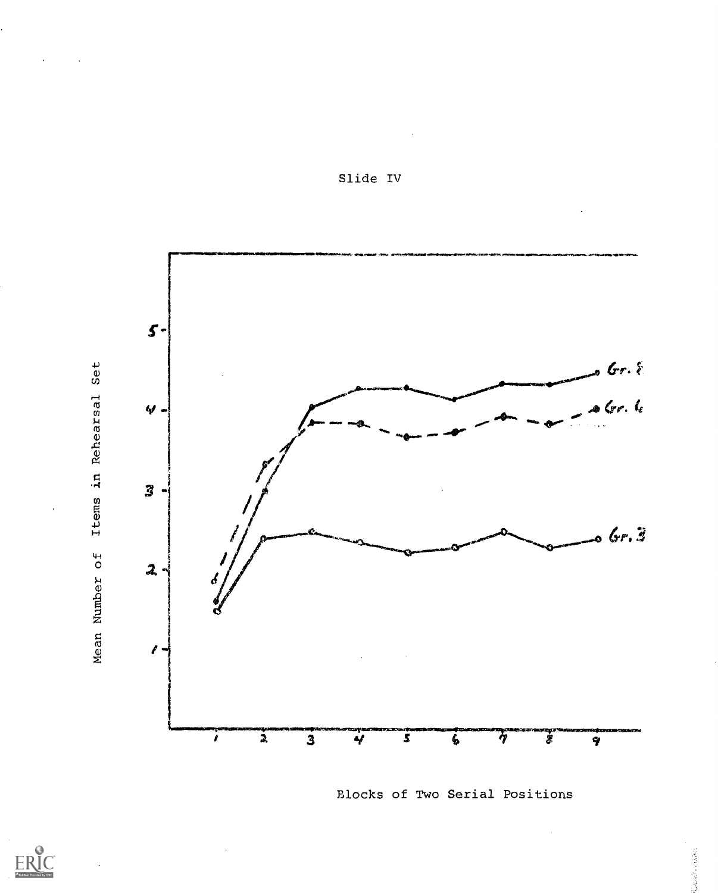

Slide IV

Blocks of Two Serial Positions

**Balance**